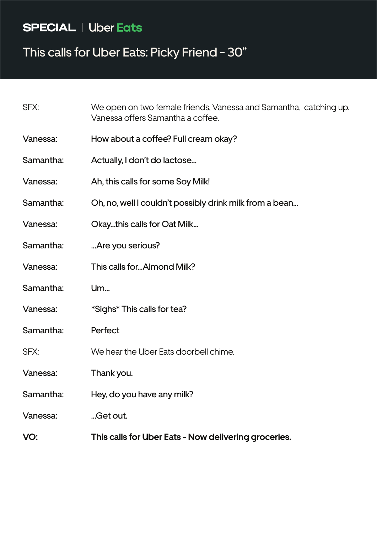### **SPECIAL** | Uber Eats

# This calls for Uber Eats: Picky Friend - 30"

| SFX:      | We open on two female friends, Vanessa and Samantha, catching up.<br>Vanessa offers Samantha a coffee. |
|-----------|--------------------------------------------------------------------------------------------------------|
| Vanessa:  | How about a coffee? Full cream okay?                                                                   |
| Samantha: | Actually, I don't do lactose                                                                           |
| Vanessa:  | Ah, this calls for some Soy Milk!                                                                      |
| Samantha: | Oh, no, well I couldn't possibly drink milk from a bean                                                |
| Vanessa:  | Okaythis calls for Oat Milk                                                                            |
| Samantha: | Are you serious?                                                                                       |
| Vanessa:  | This calls forAlmond Milk?                                                                             |
| Samantha: | <b>Um</b>                                                                                              |
| Vanessa:  | *Sighs* This calls for tea?                                                                            |
| Samantha: | Perfect                                                                                                |
| SFX:      | We hear the Uber Eats doorbell chime.                                                                  |
| Vanessa:  | Thank you.                                                                                             |
| Samantha: | Hey, do you have any milk?                                                                             |
| Vanessa:  | Get out.                                                                                               |
| VO:       | This calls for Uber Eats - Now delivering groceries.                                                   |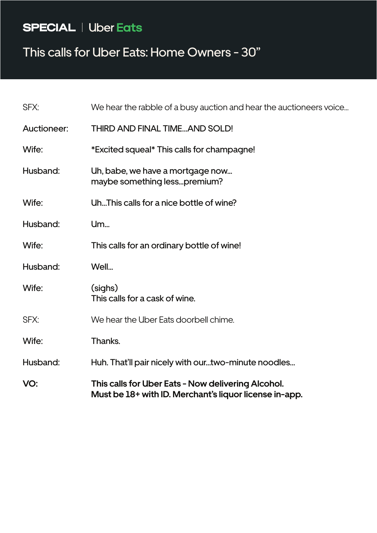# **SPECIAL** | Uber Eats

#### This calls for Uber Eats: Home Owners - 30"

| VO:                | This calls for Uber Eats - Now delivering Alcohol.<br>Must be 18+ with ID. Merchant's liquor license in-app. |
|--------------------|--------------------------------------------------------------------------------------------------------------|
| Husband:           | Huh. That'll pair nicely with ourtwo-minute noodles                                                          |
| Wife:              | Thanks.                                                                                                      |
| SFX:               | We hear the Uber Eats doorbell chime.                                                                        |
| Wife:              | (sighs)<br>This calls for a cask of wine.                                                                    |
| Husband:           | Well                                                                                                         |
| Wife:              | This calls for an ordinary bottle of wine!                                                                   |
| Husband:           | <b>Um</b>                                                                                                    |
| Wife:              | UhThis calls for a nice bottle of wine?                                                                      |
| Husband:           | Uh, babe, we have a mortgage now<br>maybe something lesspremium?                                             |
| Wife:              | *Excited squeal* This calls for champagne!                                                                   |
| <b>Auctioneer:</b> | THIRD AND FINAL TIMEAND SOLD!                                                                                |
| SFX:               | We hear the rabble of a busy auction and hear the auctioneers voice                                          |